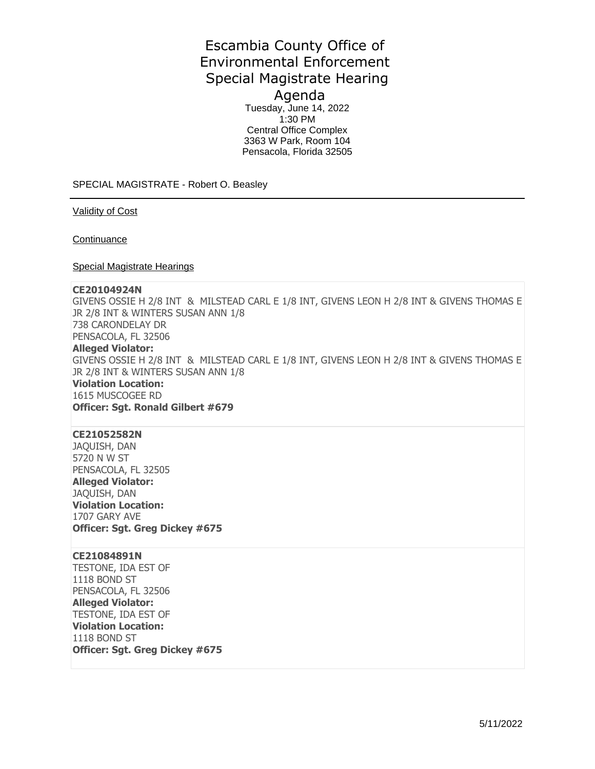# Escambia County Office of Environmental Enforcement Special Magistrate Hearing Agenda

Tuesday, June 14, 2022  $1:30$  PM Central Office Complex 3363 W Park, Room 104 Pensacola, Florida 32505

SPECIAL MAGISTRATE - Robert O. Beasley

Validity of Cost

**Continuance** 

Special Magistrate Hearings

#### **CE20104924N**

GIVENS OSSIE H 2/8 INT & MILSTEAD CARL E 1/8 INT, GIVENS LEON H 2/8 INT & GIVENS THOMAS E JR 2/8 INT & WINTERS SUSAN ANN 1/8 738 CARONDELAY DR PENSACOLA, FL 32506 **Alleged Violator:**  GIVENS OSSIE H 2/8 INT & MILSTEAD CARL E 1/8 INT, GIVENS LEON H 2/8 INT & GIVENS THOMAS E JR 2/8 INT & WINTERS SUSAN ANN 1/8 **Violation Location:**  1615 MUSCOGEE RD **Officer: Sgt. Ronald Gilbert #679** 

## **CE21052582N**

JAQUISH, DAN 5720 N W ST PENSACOLA, FL 32505 **Alleged Violator:**  JAQUISH, DAN **Violation Location:**  1707 GARY AVE **Officer: Sgt. Greg Dickey #675** 

#### **CE21084891N**

TESTONE, IDA EST OF 1118 BOND ST PENSACOLA, FL 32506 **Alleged Violator:**  TESTONE, IDA EST OF **Violation Location:**  1118 BOND ST **Officer: Sgt. Greg Dickey #675**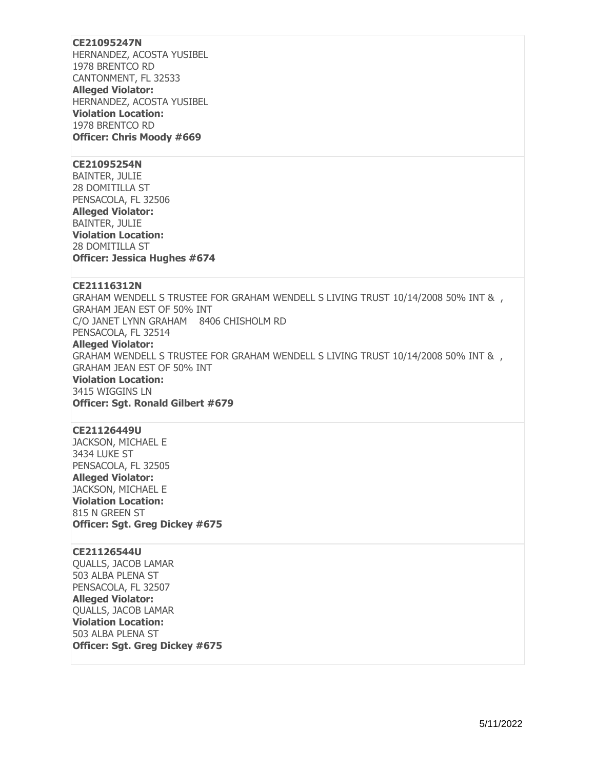## **CE21095247N**

HERNANDEZ, ACOSTA YUSIBEL 1978 BRENTCO RD CANTONMENT, FL 32533 **Alleged Violator:**  HERNANDEZ, ACOSTA YUSIBEL **Violation Location:**  1978 BRENTCO RD **Officer: Chris Moody #669** 

#### **CE21095254N**

BAINTER, JULIE 28 DOMITILLA ST PENSACOLA, FL 32506 **Alleged Violator:**  BAINTER, JULIE **Violation Location:**  28 DOMITILLA ST **Officer: Jessica Hughes #674** 

#### **CE21116312N**

GRAHAM WENDELL S TRUSTEE FOR GRAHAM WENDELL S LIVING TRUST 10/14/2008 50% INT & , GRAHAM JEAN EST OF 50% INT C/O JANET LYNN GRAHAM 8406 CHISHOLM RD PENSACOLA, FL 32514 **Alleged Violator:**  GRAHAM WENDELL S TRUSTEE FOR GRAHAM WENDELL S LIVING TRUST 10/14/2008 50% INT & , GRAHAM JEAN EST OF 50% INT **Violation Location:**  3415 WIGGINS LN **Officer: Sgt. Ronald Gilbert #679** 

### **CE21126449U**

JACKSON, MICHAEL E 3434 LUKE ST PENSACOLA, FL 32505 **Alleged Violator:**  JACKSON, MICHAEL E **Violation Location:**  815 N GREEN ST **Officer: Sgt. Greg Dickey #675** 

## **CE21126544U**

QUALLS, JACOB LAMAR 503 ALBA PLENA ST PENSACOLA, FL 32507 **Alleged Violator:**  QUALLS, JACOB LAMAR **Violation Location:**  503 ALBA PLENA ST **Officer: Sgt. Greg Dickey #675**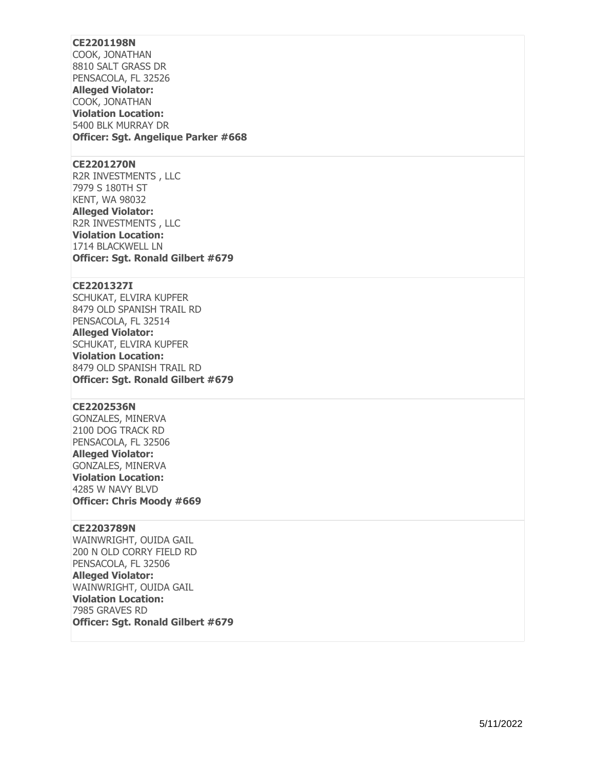## **CE2201198N**

COOK, JONATHAN 8810 SALT GRASS DR PENSACOLA, FL 32526 **Alleged Violator:**  COOK, JONATHAN **Violation Location:**  5400 BLK MURRAY DR **Officer: Sgt. Angelique Parker #668** 

#### **CE2201270N**

R2R INVESTMENTS , LLC 7979 S 180TH ST KENT, WA 98032 **Alleged Violator:**  R2R INVESTMENTS , LLC **Violation Location:**  1714 BLACKWELL LN **Officer: Sgt. Ronald Gilbert #679** 

#### **CE2201327I**

SCHUKAT, ELVIRA KUPFER 8479 OLD SPANISH TRAIL RD PENSACOLA, FL 32514 **Alleged Violator:**  SCHUKAT, ELVIRA KUPFER **Violation Location:**  8479 OLD SPANISH TRAIL RD **Officer: Sgt. Ronald Gilbert #679** 

## **CE2202536N**

GONZALES, MINERVA 2100 DOG TRACK RD PENSACOLA, FL 32506 **Alleged Violator:**  GONZALES, MINERVA **Violation Location:**  4285 W NAVY BLVD **Officer: Chris Moody #669** 

### **CE2203789N**

WAINWRIGHT, OUIDA GAIL 200 N OLD CORRY FIELD RD PENSACOLA, FL 32506 **Alleged Violator:**  WAINWRIGHT, OUIDA GAIL **Violation Location:**  7985 GRAVES RD **Officer: Sgt. Ronald Gilbert #679**